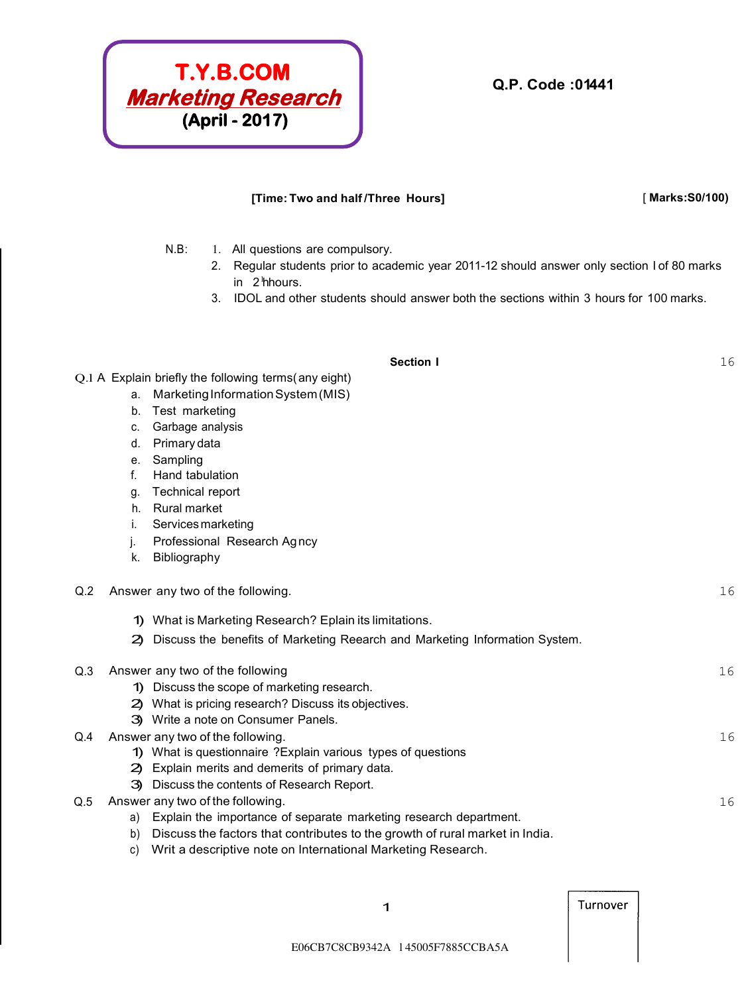

#### **[Time: Two and half /Three Hours]** [ **Marks:S0/100)**

N.B: 1. All questions are compulsory.

- 2. Regular students prior to academic year 2011-12 should answer only section I of 80 marks in 2<sup>h</sup>hours.
- 3. IDOL and other students should answer both the sections within 3 hours for 100 marks.

#### **Section I** 16

Q.l A Explain briefly the following terms( any eight)

- a. Marketing Information System (MIS)
- b. Test marketing
- c. Garbage analysis
- d. Primary data
- e. Sampling
- f. Hand tabulation
- g. Technical report
- h. Rural market
- i. Services marketing
- j. Professional Research Ag ncy
- k. Bibliography
- Q.2 Answer any two of the following. COMEXAMENT CONSERVATION CONSERVATION ASSESSMENT OF THE CONSERVATION OF THE CONSERVATION OF THE CONSERVATION OF THE CONSERVATION OF THE CONSERVATION OF THE CONSERVATION OF THE CONSERVATI
	- 1) What is Marketing Research? Eplain its limitations.
	- 2) Discuss the benefits of Marketing Reearch and Marketing Information System.

# Q.3 Answer any two of the following example of the following  $16$ 1) Discuss the scope of marketing research. 2) What is pricing research? Discuss its objectives. 3) Write a note on Consumer Panels. Q.4 Answer any two of the following. 16 1) What is questionnaire ?Explain various types of questions 2) Explain merits and demerits of primary data. 3) Discuss the contents of Research Report.

- Q.5 Answer any two of the following. COMEXANDER CONSERVATION CONSERVATION CONSERVATION CONSERVATION CONSERVATION CONSERVATION CONSERVATION CONSERVATION CONSERVATION CONSERVATION CONSERVATION CONSERVATION CONSERVATION CONSE
	- a) Explain the importance of separate marketing research department.
	- b) Discuss the factors that contributes to the growth of rural market in India.
	- c) Writ a descriptive note on International Marketing Research.

Turnover

1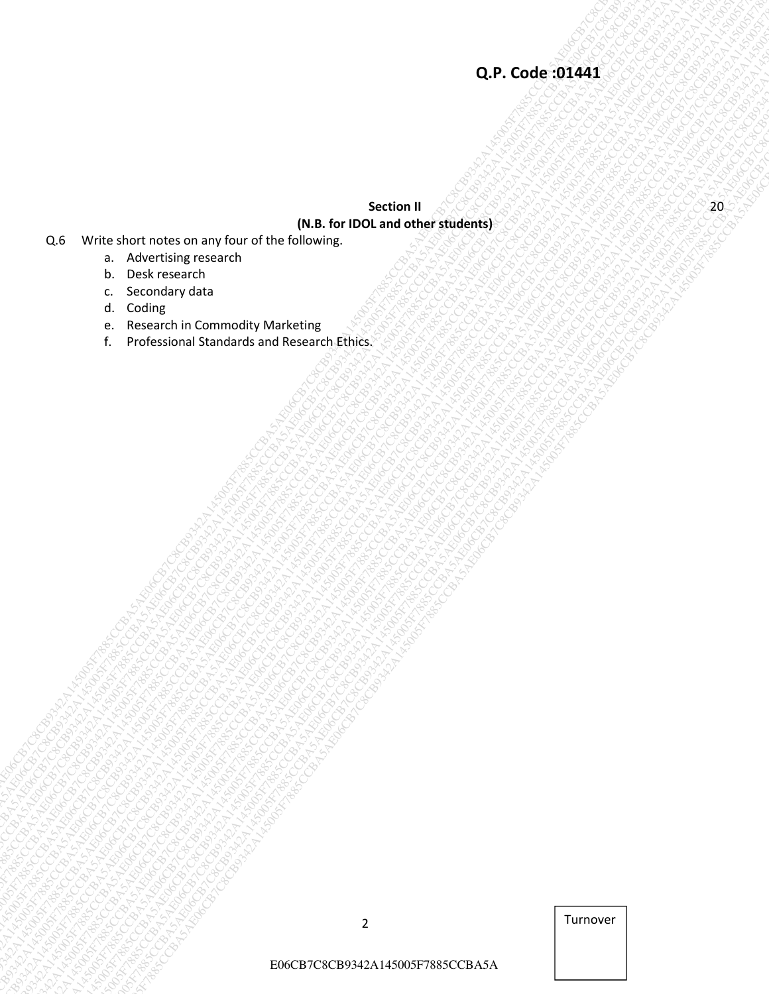# $\begin{bmatrix}\n\text{Q.P. Code-S15} \\
\text{2.5} \text{ Wintubent when } \text{mlim} \text{ mlim} \text{ power of the following 100.54 for 100.54 for 100.54 for 100.54 for 100.54 for 100.54 for 100.54 for 100.54 for 100.54 for 100.54 for 100.54 for 100.54 for 100.54 for 100.54 for 100.54 for 100.54 for 100.54 for 100.54 for 100.54 for 100.54 for 100.5$ Co. Who sharifices completed to be a book of the big secondary and the big secondary and the big secondary and the big secondary and the big secondary and the big secondary and the big secondary and the big secondary and t **Q.P. Code: SI1454**<br>  $\begin{bmatrix}\n\text{Q.} & \text{P. Code-BI-MS} \\
\text{Q.} & \text{P. Code-BI-MS} \\
\text{Q.} & \text{P. Code-BI-MS} \\
\text{Q.} & \text{P. E-MSI-MS} \\
\text{Q.} & \text{P. E-MSI-MS} \\
\text{Q.} & \text{P. E-MSI-MS} \\
\text{Q.} & \text{P. E-MSI-MS} \\
\text{Q.} & \text{P. E-MSI-MS} \\
\text{Q.} & \text{P. E-MSI-MS} \\
\text{Q.} & \text{P.$ Cof Windows Control Nation Control Nation Control National Control National Control National Control National Control National Control National Control National Control National Control National Control National Control Na E06CB7C8CB9342A145005F7885CCBA5AE06CB7C8CB9342A145005F7885CCBA5AE06CB7C8CB9342A145005F7885CCBA5AE06CB7C8CB9342A145005F7885CCBA5AE06CB7C8CB9342A145005F7885CCBA5AE06CB7C8CB9342A145005F7885CCBA5A E06CB7C8CB9342A145005F7885CCBA5AE06CB7C8CB9342A145005F7885CCBA5AE06CB7C8CB9342A145005F7885CCBA5AE06CB7C8CB9342A145005F7885CCBA5AE06CB7C8CB9342A145005F7885CCBA5AE06CB7C8CB9342A145005F7885CCBA5A E06CB7C8CB9342A145005F7885CCBA5AE06CB7C8CB9342A145005F7885CCBA5AE06CB7C8CB9342A145005F7885CCBA5AE06CB7C8CB9342A145005F7885CCBA5AE06CB7C8CB9342A145005F7885CCBA5AE06CB7C8CB9342A145005F7885CCBA5A E06CB7C8CB9342A145005F7885CCBA5AE06CB7C8CB9342A145005F7885CCBA5AE06CB7C8CB9342A145005F7885CCBA5AE06CB7C8CB9342A145005F7885CCBA5AE06CB7C8CB9342A145005F7885CCBA5AE06CB7C8CB9342A145005F7885CCBA5A E06CB7C8CB9342A145005F7885CCBA5AE06CB7C8CB9342A145005F7885CCBA5AE06CB7C8CB9342A145005F7885CCBA5AE06CB7C8CB9342A145005F7885CCBA5AE06CB7C8CB9342A145005F7885CCBA5AE06CB7C8CB9342A145005F7885CCBA5A E06CB7C8CB9342A145005F7885CCBA5AE06CB7C8CB9342A145005F7885CCBA5AE06CB7C8CB9342A145005F7885CCBA5AE06CB7C8CB9342A145005F7885CCBA5AE06CB7C8CB9342A145005F7885CCBA5AE06CB7C8CB9342A145005F7885CCBA5A E06CB7C8CB9342A145005F7885CCBA5AE06CB7C8CB9342A145005F7885CCBA5AE06CB7C8CB9342A145005F7885CCBA5AE06CB7C8CB9342A145005F7885CCBA5AE06CB7C8CB9342A145005F7885CCBA5AE06CB7C8CB9342A145005F7885CCBA5A E06CB7C8CB9342A145005F7885CCBA5AE06CB7C8CB9342A145005F7885CCBA5AE06CB7C8CB9342A145005F7885CCBA5AE06CB7C8CB9342A145005F7885CCBA5AE06CB7C8CB9342A145005F7885CCBA5AE06CB7C8CB9342A145005F7885CCBA5A E06CB7C8CB9342A145005F7885CCBA5AE06CB7C8CB9342A145005F7885CCBA5AE06CB7C8CB9342A145005F7885CCBA5AE06CB7C8CB9342A145005F7885CCBA5AE06CB7C8CB9342A145005F7885CCBA5AE06CB7C8CB9342A145005F7885CCBA5A E06CB7C8CB9342A145005F7885CCBA5AE06CB7C8CB9342A145005F7885CCBA5AE06CB7C8CB9342A145005F7885CCBA5AE06CB7C8CB9342A145005F7885CCBA5AE06CB7C8CB9342A145005F7885CCBA5AE06CB7C8CB9342A145005F7885CCBA5A E06CB7C8CB9342A145005F7885CCBA5AE06CB7C8CB9342A145005F7885CCBA5AE06CB7C8CB9342A145005F7885CCBA5AE06CB7C8CB9342A145005F7885CCBA5AE06CB7C8CB9342A145005F7885CCBA5AE06CB7C8CB9342A145005F7885CCBA5A COR CORE STATE<br>
TRANSPORTATION OF THE CORPORATION CORPORATION CORPORATION CORPORATION CORPORATION CORPORATION CORPORATION CORPORATION CORPORATION CORPORATION CORPORATION CORPORATION CORPORATION CORPORATION CORPORATION CORP  $\begin{array}{|l|l|}\n\hline\n\textbf{Q.P. Code OIA} \\\hline \textbf{X.P.} \\\hline \textbf{X.P.} \\\hline \textbf{X.P.} \\\hline \textbf{X.P.} \\\hline \textbf{X.P.} \\\hline \textbf{X.P.} \\\hline \textbf{X.P.} \\\hline \textbf{X.P.} \\\hline \textbf{X.P.} \\\hline \textbf{X.P.} \\\hline \textbf{X.P.} \\\hline \textbf{X.P.} \\\hline \textbf{X.P.} \\\hline \textbf{X.P.} \\\hline \textbf{X.P.} \\\hline \textbf{X.P.} \$ E06CB7C8CB9342A145005F7885CCBA5AE06CB7C8CB9342A145005F7885CCBA5AE06CB7C8CB9342A145005F7885CCBA5AE06CB7C8CB9342A145005F7885CCBA5AE06CB7C8CB9342A145005F7885CCBA5AE06CB7C8CB9342A145005F7885CCBA5A ECRS CREATIVE COMPONENT COMPONENT COMPONENT COMPONENT COMPONENT COMPONENT COMPONENT COMPONENT COMPONENT COMPONENT COMPONENT COMPONENT COMPONENT COMPONENT COMPONENT COMPONENT COMPONENT COMPONENT COMPONENT COMPONENT COMPONEN  $\begin{bmatrix}\n\mathbf{Q}, \mathbf{F}, \mathbf{C} \mathbf{Q} \mathbf{P}, \mathbf{C} \mathbf{Q} \mathbf{Q} \mathbf{P}, \mathbf{C} \mathbf{Q} \mathbf{Q} \mathbf{Q} \mathbf{Q} \mathbf{Q} \mathbf{Q} \mathbf{Q} \mathbf{Q} \mathbf{Q} \mathbf{Q} \mathbf{Q} \mathbf{Q} \mathbf{Q} \mathbf{Q} \mathbf{Q} \mathbf{Q} \mathbf{Q} \mathbf{Q} \mathbf{Q} \mathbf{Q} \mathbf{Q} \mathbf{Q} \mathbf{Q} \mathbf{Q} \mathbf{Q} \mathbf$ **Section II (N.B. for IDOL and other students)**

- Q.6 Write short notes on any four of the following.
	- a. Advertising research
	- b. Desk research
	- c. Secondary data
	- d. Coding
	- e. Research in Commodity Marketing
	- f. Professional Standards and Research Ethics.

2 Turnover

E06CB7C8CB9342A145005F7885CCBA5A

20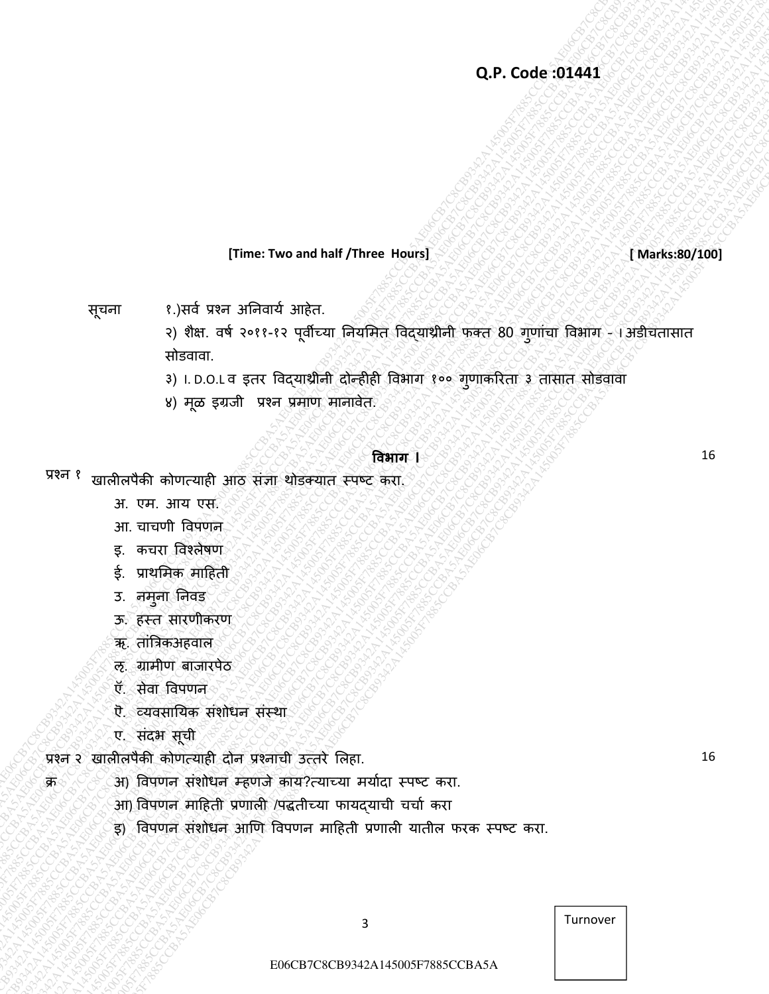**[Time: Two and half /Three Hours]** *and state of the state of the State of Marks:80/100]* 

16

16

सूचना १.)सर्व प्रश्न अनिवार्य आहेत.

Q.P.Code:934434<br>
Energy 1, particular and and the control of the same of the control of the control of the control of the control of the control of the control of the control of the control of the control of the control of E06CB7C8CB9342A145005F7885CCBA5AE06CB7C8CB9342A145005F7885CCBA5AE06CB7C8CB9342A145005F7885CCBA5AE06CB7C8CB9342A145005F7885CCBA5AE06CB7C8CB9342A145005F7885CCBA5AE06CB7C8CB9342A145005F7885CCBA5A E06CB7C8CB9342A145005F7885CCBA5AE06CB7C8CB9342A145005F7885CCBA5AE06CB7C8CB9342A145005F7885CCBA5AE06CB7C8CB9342A145005F7885CCBA5AE06CB7C8CB9342A145005F7885CCBA5AE06CB7C8CB9342A145005F7885CCBA5A Q.P. Code:3044145<br>
(The Two and half river of Franchischer House)<br>
(The red version of Franchischer House)<br>
(a) one red version of Franchischer House)<br>
(a) and red version of Franchischer House)<br>
(a) and red version of Fr EDRE TWO and that the set of the set of the set of the set of the set of the set of the set of the set of the set of the set of the set of the set of the set of the set of the set of the set of the set of the set of the s **CDP, Code 30445**<br>
ETHER Two and half Three Newsley<br>
The Text of Section Section Section Section Section Section Section Section<br>
(a) discrepant in the section of Section Section Section Section Section Section Section Se **CDP, Code 30445**<br>
ETHER Two and half Three Newsley<br>
The Text of Section Section Section Section Section Section Section Section<br>
(a) discrepant in the section of Section Section Section Section Section Section Section Se **CDP, Code 30445**<br>
ETHER Two and half Three Newsley<br>
The Text of Section Section Section Section Section Section Section Section<br>
(a) discrepant in the section of Section Section Section Section Section Section Section Se **CDP, Code 30445**<br>
ETHER Two and half Three Newsley<br>
The Text of Section Section Section Section Section Section Section Section<br>
(a) discrepant in the section of Section Section Section Section Section Section Section Se **CDP, Code 30445**<br>
ETHER Two and half Three Newsley<br>
The Text of Section Section Section Section Section Section Section Section<br>
(a) discrepant in the section of Section Section Section Section Section Section Section Se **CDP, Code 30445**<br>
ETHER Two and half Three Newsley<br>
The Text of Section Section Section Section Section Section Section Section<br>
(a) discrepant in the section of Section Section Section Section Section Section Section Se **CDP, Code 30445**<br>
ETHER Two and half Three Newsley<br>
The Text of Section Section Section Section Section Section Section Section<br>
(a) discrepant in the section of Section Section Section Section Section Section Section Se **CDP, Code 30445**<br>
ETHER Two and half Three Newsley<br>
The Text of Section Section Section Section Section Section Section Section<br>
(a) discrepant in the section of Section Section Section Section Section Section Section Se **EDFREE TWO and half (Three Toward half (Three Toward half (Three Toward half (Three Toward Act CBS)**<br>
Transfer ( $\theta$ ) for a control of the control of the control of the control of the control of the control of the contro Q.P. Code:30444<br>
EDF (1,334) can siffer the suntainty of the state of the state of the state of the state of the state of the state of the state of the state of the state of the state of the state of the state of the stat Q.P. Code:31441<br>  $Q.P.$  Code:31441<br>  $\gamma_{\text{c}} = 4$  (yiel vet a Software and the state of the state of the state of the state of the state of the state of the state of the state of the state of the state of the state of the Q.P. Code 01444<br>
(Three Two and half /Three Hours)<br>
equal<br>
equal<br>
equal<br>
expression control and control and control and control and control and control and control and control and control and control and control and contro **Co. F. Code: 301441**<br>
Trime: Two and half / three Hours]<br>
FFEET 1, see for a single-state and the seed of the seed of the seed of the seed of the seed of the seed of the seed of the seed of the seed of the seed of the se Q.P. Code: 30441<br>
Effect 12, point of the two-set half of the two-set half of the two-set half of the two-set half of the two-set<br>  $\frac{1}{2}$  and  $\frac{1}{2}$  and  $\frac{1}{2}$  and  $\frac{1}{2}$  and  $\frac{1}{2}$  and  $\frac{1}{2}$  and  $\frac{1}{$ **CDPC**<br>
ETTER C3843 Year afformation and haif Three House]<br>
ETTER C384 Year afformation<br>
2065. The state of the state of the state of the state of the state of the state<br>
2067. The state of the state of the state of the s २) शैक्ष. वर्ष २०११-१२ पूर्वीच्या नियमित विदयाश्रीनी फक्त 80 गूणांचा विभाग - I अडीचतासात सोडवावा.

३) I. D.O.L व इतर विद्याथ्रीनी दोन्हीही विभाग १०० ग्णाकरिता ३ तासात सोडवावा

४) मूळ इग्रजी प्रश्न प्रमाण मानावेत.

#### **विभाग I**

प्रश्न १ खालीलपैकी कोणत्याही आठ संज्ञा थोडक्यात स्पष्ट करा.

- अ. एम. आय एस.
- आ. चाचणी वर्पणन
- इ. कचरा विश्लेषण
- ई. प्राथमिक माहिती
- उ. नमुना निवड
- ऊ. हस्त सारणीकरण
- ऋ. तांत्रिकअहवाल
- ऌ. ग्रामीण बाजारपेठ
- ऍ. सेवा विपणन
- ऎ. व्र्र्सानर्क सांशोधन सांस्था
- ए. संदभ सूची

क्र

- प्रश्न २ खालीलपैकी कोणत्याही दोन प्रश्नाची उत्तरे लिहा.
	- आ) विपणन संशोधन म्हणजे काय?त्याच्या मर्यादा स्पष्ट करा.
	- आ) विपणन माहिती प्रणाली /पद्धतीच्या फायदयाची चर्चा करा
	- इ) विपणन संशोधन आणि विपणन माहिती प्रणाली यातील फरक स्पष्ट करा.

3 Turnover